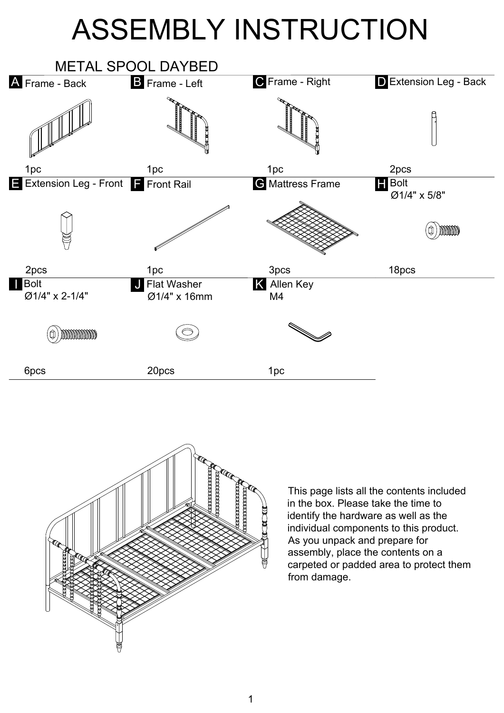## ASSEMBLY INSTRUCTION





This page lists all the contents included in the box. Please take the time to identify the hardware as well as the individual components to this product. As you unpack and prepare for assembly, place the contents on a carpeted or padded area to protect them from damage.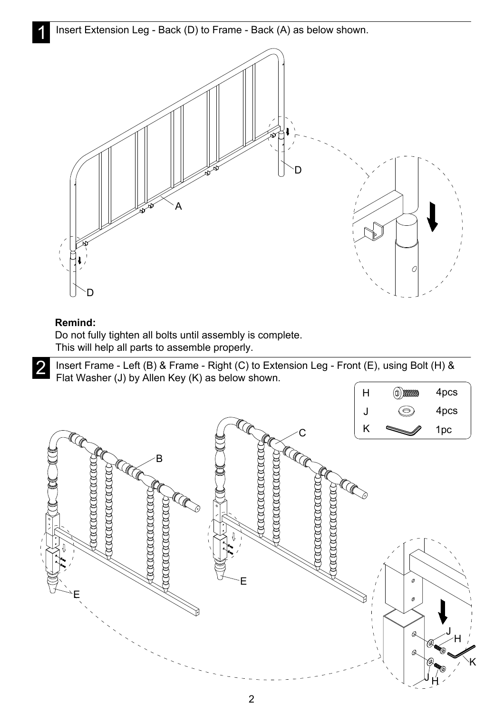Insert Extension Leg - Back (D) to Frame - Back (A) as below shown.



## **Remind:**

Do not fully tighten all bolts until assembly is complete. This will help all parts to assemble properly.

2 Insert Frame - Left (B) & Frame - Right (C) to Extension Leg - Front (E), using Bolt (H) &<br>Elat Washer (J) by Allen Key (K) as below shown Flat Washer (J) by Allen Key (K) as below shown.

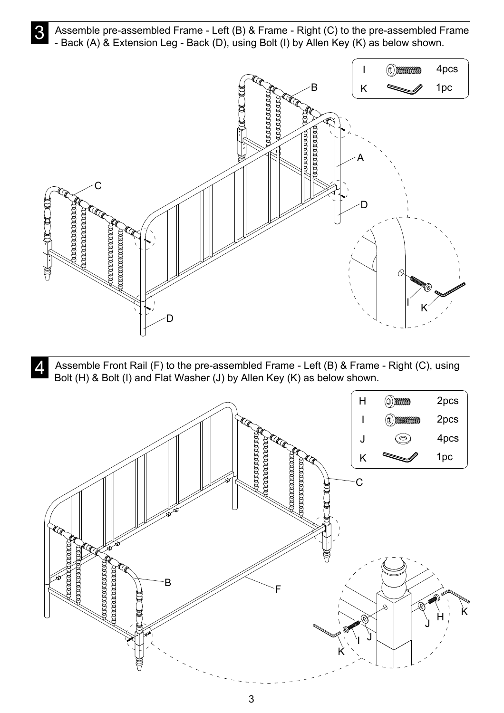**3** Assemble pre-assembled Frame - Left (B) & Frame - Right (C) to the pre-assembled Frame<br>- Back (A) & Extension Leg - Back (D), using Bolt (I) by Allen Key (K) as below shown - Back (A) & Extension Leg - Back (D), using Bolt (I) by Allen Key (K) as below shown.



A Assemble Front Rail (F) to the pre-assembled Frame - Left (B) & Frame - Right (C), using<br>Bolt (H) & Bolt (I) and Flat Washer (J) by Allen Key (K) as below shown Bolt (H) & Bolt (I) and Flat Washer (J) by Allen Key (K) as below shown.